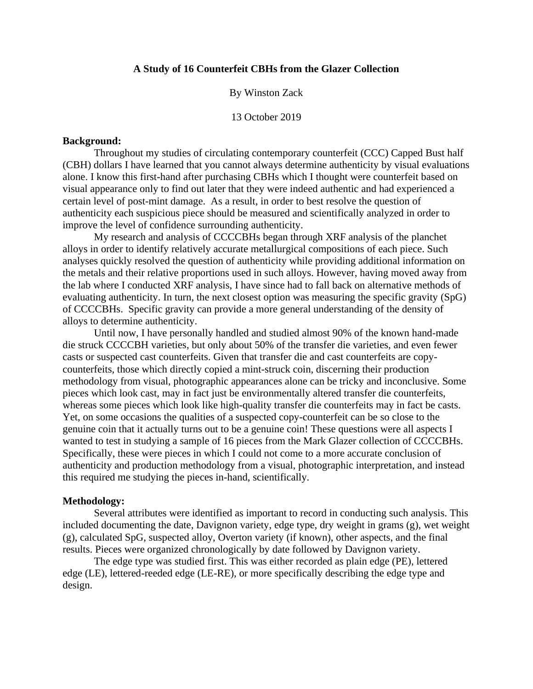## **A Study of 16 Counterfeit CBHs from the Glazer Collection**

## By Winston Zack

13 October 2019

## **Background:**

Throughout my studies of circulating contemporary counterfeit (CCC) Capped Bust half (CBH) dollars I have learned that you cannot always determine authenticity by visual evaluations alone. I know this first-hand after purchasing CBHs which I thought were counterfeit based on visual appearance only to find out later that they were indeed authentic and had experienced a certain level of post-mint damage. As a result, in order to best resolve the question of authenticity each suspicious piece should be measured and scientifically analyzed in order to improve the level of confidence surrounding authenticity.

My research and analysis of CCCCBHs began through XRF analysis of the planchet alloys in order to identify relatively accurate metallurgical compositions of each piece. Such analyses quickly resolved the question of authenticity while providing additional information on the metals and their relative proportions used in such alloys. However, having moved away from the lab where I conducted XRF analysis, I have since had to fall back on alternative methods of evaluating authenticity. In turn, the next closest option was measuring the specific gravity (SpG) of CCCCBHs. Specific gravity can provide a more general understanding of the density of alloys to determine authenticity.

Until now, I have personally handled and studied almost 90% of the known hand-made die struck CCCCBH varieties, but only about 50% of the transfer die varieties, and even fewer casts or suspected cast counterfeits. Given that transfer die and cast counterfeits are copycounterfeits, those which directly copied a mint-struck coin, discerning their production methodology from visual, photographic appearances alone can be tricky and inconclusive. Some pieces which look cast, may in fact just be environmentally altered transfer die counterfeits, whereas some pieces which look like high-quality transfer die counterfeits may in fact be casts. Yet, on some occasions the qualities of a suspected copy-counterfeit can be so close to the genuine coin that it actually turns out to be a genuine coin! These questions were all aspects I wanted to test in studying a sample of 16 pieces from the Mark Glazer collection of CCCCBHs. Specifically, these were pieces in which I could not come to a more accurate conclusion of authenticity and production methodology from a visual, photographic interpretation, and instead this required me studying the pieces in-hand, scientifically.

#### **Methodology:**

Several attributes were identified as important to record in conducting such analysis. This included documenting the date, Davignon variety, edge type, dry weight in grams (g), wet weight (g), calculated SpG, suspected alloy, Overton variety (if known), other aspects, and the final results. Pieces were organized chronologically by date followed by Davignon variety.

The edge type was studied first. This was either recorded as plain edge (PE), lettered edge (LE), lettered-reeded edge (LE-RE), or more specifically describing the edge type and design.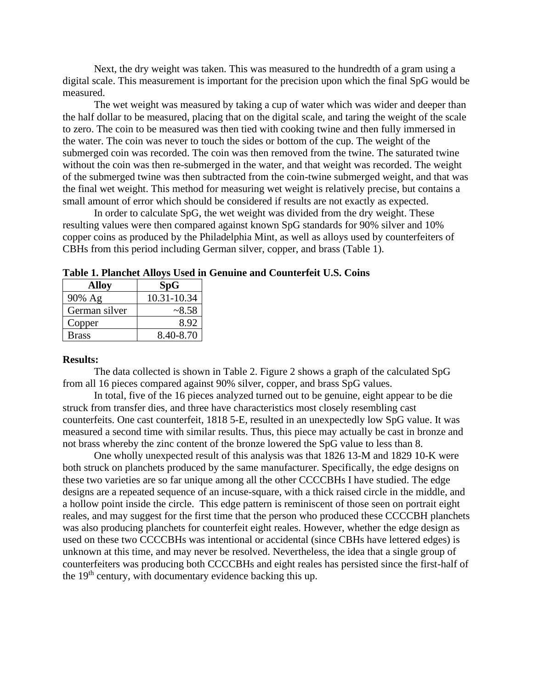Next, the dry weight was taken. This was measured to the hundredth of a gram using a digital scale. This measurement is important for the precision upon which the final SpG would be measured.

The wet weight was measured by taking a cup of water which was wider and deeper than the half dollar to be measured, placing that on the digital scale, and taring the weight of the scale to zero. The coin to be measured was then tied with cooking twine and then fully immersed in the water. The coin was never to touch the sides or bottom of the cup. The weight of the submerged coin was recorded. The coin was then removed from the twine. The saturated twine without the coin was then re-submerged in the water, and that weight was recorded. The weight of the submerged twine was then subtracted from the coin-twine submerged weight, and that was the final wet weight. This method for measuring wet weight is relatively precise, but contains a small amount of error which should be considered if results are not exactly as expected.

In order to calculate SpG, the wet weight was divided from the dry weight. These resulting values were then compared against known SpG standards for 90% silver and 10% copper coins as produced by the Philadelphia Mint, as well as alloys used by counterfeiters of CBHs from this period including German silver, copper, and brass (Table 1).

| <b>Alloy</b>  | SpG         |
|---------------|-------------|
| 90% Ag        | 10.31-10.34 |
| German silver | ~28.58      |
| Copper        | 8.92        |
| <b>Brass</b>  | 8.40-8.70   |

**Table 1. Planchet Alloys Used in Genuine and Counterfeit U.S. Coins**

### **Results:**

The data collected is shown in Table 2. Figure 2 shows a graph of the calculated SpG from all 16 pieces compared against 90% silver, copper, and brass SpG values.

In total, five of the 16 pieces analyzed turned out to be genuine, eight appear to be die struck from transfer dies, and three have characteristics most closely resembling cast counterfeits. One cast counterfeit, 1818 5-E, resulted in an unexpectedly low SpG value. It was measured a second time with similar results. Thus, this piece may actually be cast in bronze and not brass whereby the zinc content of the bronze lowered the SpG value to less than 8.

One wholly unexpected result of this analysis was that 1826 13-M and 1829 10-K were both struck on planchets produced by the same manufacturer. Specifically, the edge designs on these two varieties are so far unique among all the other CCCCBHs I have studied. The edge designs are a repeated sequence of an incuse-square, with a thick raised circle in the middle, and a hollow point inside the circle. This edge pattern is reminiscent of those seen on portrait eight reales, and may suggest for the first time that the person who produced these CCCCBH planchets was also producing planchets for counterfeit eight reales. However, whether the edge design as used on these two CCCCBHs was intentional or accidental (since CBHs have lettered edges) is unknown at this time, and may never be resolved. Nevertheless, the idea that a single group of counterfeiters was producing both CCCCBHs and eight reales has persisted since the first-half of the  $19<sup>th</sup>$  century, with documentary evidence backing this up.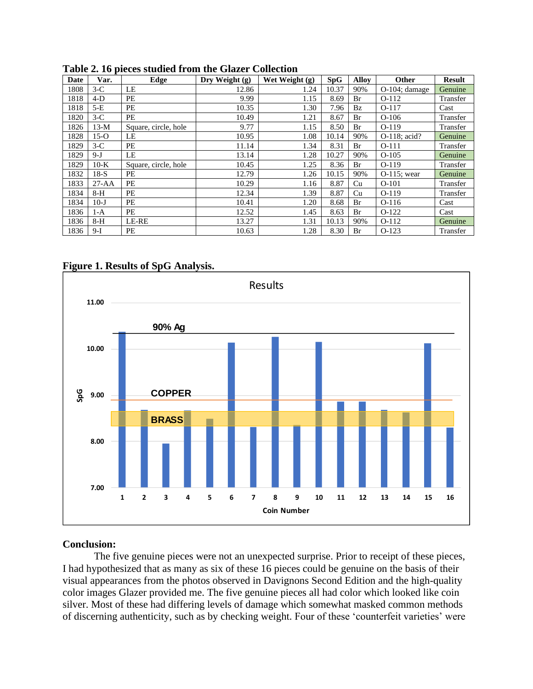| Date | Var.      | Edge                 | Dry Weight (g) | Wet Weight (g) | <b>SpG</b> | <b>Alloy</b> | Other            | <b>Result</b> |
|------|-----------|----------------------|----------------|----------------|------------|--------------|------------------|---------------|
| 1808 | $3-C$     | LE                   | 12.86          | 1.24           | 10.37      | 90%          | $O-104$ ; damage | Genuine       |
| 1818 | $4-D$     | PE                   | 9.99           | 1.15           | 8.69       | Br           | $O-112$          | Transfer      |
| 1818 | $5-E$     | PE                   | 10.35          | 1.30           | 7.96       | Bz           | $O-117$          | Cast          |
| 1820 | $3-C$     | PE                   | 10.49          | 1.21           | 8.67       | Br           | $O-106$          | Transfer      |
| 1826 | $13-M$    | Square, circle, hole | 9.77           | 1.15           | 8.50       | Br           | $O-119$          | Transfer      |
| 1828 | $15-o$    | LE                   | 10.95          | 1.08           | 10.14      | 90%          | O-118; acid?     | Genuine       |
| 1829 | $3-C$     | PE                   | 11.14          | 1.34           | 8.31       | Br           | $O-111$          | Transfer      |
| 1829 | $9-J$     | LE                   | 13.14          | 1.28           | 10.27      | 90%          | $O-105$          | Genuine       |
| 1829 | $10-K$    | Square, circle, hole | 10.45          | 1.25           | 8.36       | Br           | $O-119$          | Transfer      |
| 1832 | $18-S$    | PЕ                   | 12.79          | 1.26           | 10.15      | 90%          | $O-115$ : wear   | Genuine       |
| 1833 | $27 - AA$ | PE                   | 10.29          | 1.16           | 8.87       | Cu           | $O-101$          | Transfer      |
| 1834 | $8-H$     | PE                   | 12.34          | 1.39           | 8.87       | Cu           | $O-119$          | Transfer      |
| 1834 | $10 - J$  | PE                   | 10.41          | 1.20           | 8.68       | Br           | $O-116$          | Cast          |
| 1836 | $1-A$     | PE                   | 12.52          | 1.45           | 8.63       | Br           | $O-122$          | Cast          |
| 1836 | $8-H$     | LE-RE                | 13.27          | 1.31           | 10.13      | 90%          | $O-112$          | Genuine       |
| 1836 | $9-I$     | PE                   | 10.63          | 1.28           | 8.30       | Br           | $O-123$          | Transfer      |

**Table 2. 16 pieces studied from the Glazer Collection**





# **Conclusion:**

The five genuine pieces were not an unexpected surprise. Prior to receipt of these pieces, I had hypothesized that as many as six of these 16 pieces could be genuine on the basis of their visual appearances from the photos observed in Davignons Second Edition and the high-quality color images Glazer provided me. The five genuine pieces all had color which looked like coin silver. Most of these had differing levels of damage which somewhat masked common methods of discerning authenticity, such as by checking weight. Four of these 'counterfeit varieties' were